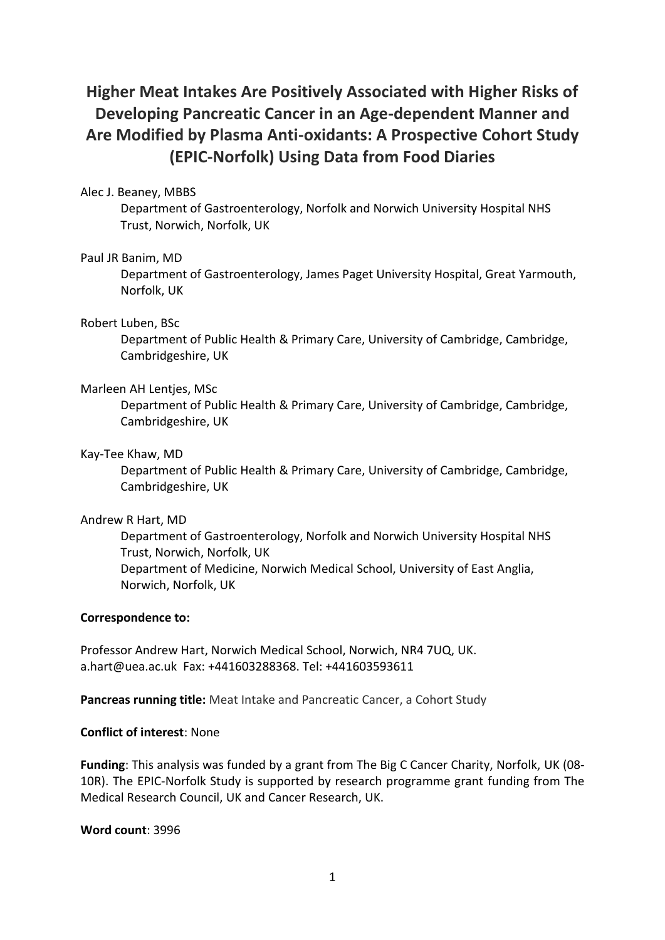# **Higher Meat Intakes Are Positively Associated with Higher Risks of Developing Pancreatic Cancer in an Age-dependent Manner and Are Modified by Plasma Anti-oxidants: A Prospective Cohort Study (EPIC-Norfolk) Using Data from Food Diaries**

# Alec J. Beaney, MBBS

Department of Gastroenterology, Norfolk and Norwich University Hospital NHS Trust, Norwich, Norfolk, UK

## Paul JR Banim, MD

Department of Gastroenterology, James Paget University Hospital, Great Yarmouth, Norfolk, UK

## Robert Luben, BSc

Department of Public Health & Primary Care, University of Cambridge, Cambridge, Cambridgeshire, UK

#### Marleen AH Lentjes, MSc

Department of Public Health & Primary Care, University of Cambridge, Cambridge, Cambridgeshire, UK

## Kay-Tee Khaw, MD

Department of Public Health & Primary Care, University of Cambridge, Cambridge, Cambridgeshire, UK

# Andrew R Hart, MD

Department of Gastroenterology, Norfolk and Norwich University Hospital NHS Trust, Norwich, Norfolk, UK Department of Medicine, Norwich Medical School, University of East Anglia, Norwich, Norfolk, UK

# **Correspondence to:**

Professor Andrew Hart, Norwich Medical School, Norwich, NR4 7UQ, UK. a.hart@uea.ac.uk Fax: +441603288368. Tel: +441603593611

**Pancreas running title:** Meat Intake and Pancreatic Cancer, a Cohort Study

# **Conflict of interest**: None

**Funding**: This analysis was funded by a grant from The Big C Cancer Charity, Norfolk, UK (08- 10R). The EPIC-Norfolk Study is supported by research programme grant funding from The Medical Research Council, UK and Cancer Research, UK.

**Word count**: 3996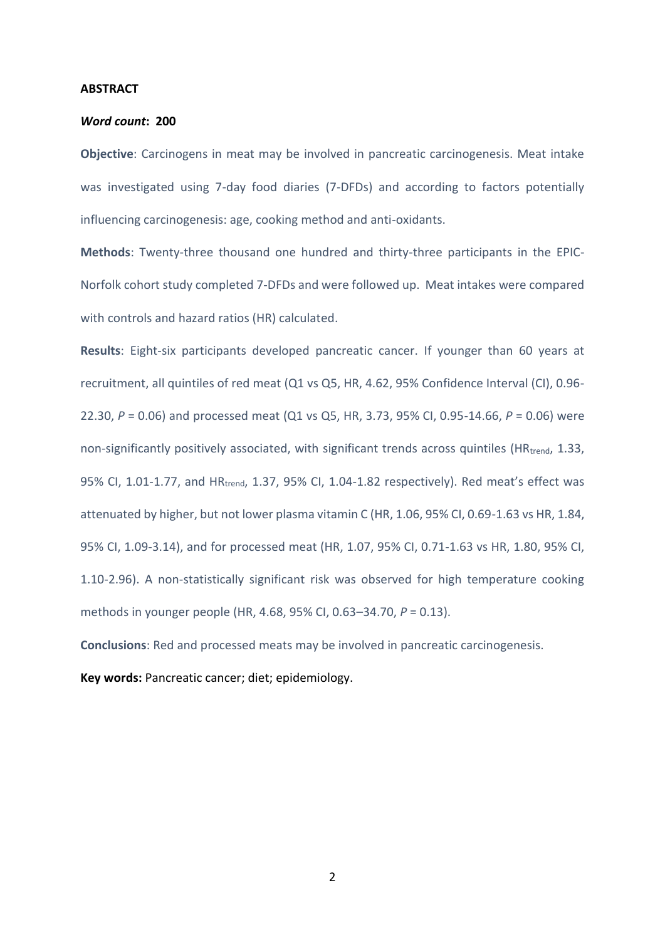#### **ABSTRACT**

#### *Word count***: 200**

**Objective**: Carcinogens in meat may be involved in pancreatic carcinogenesis. Meat intake was investigated using 7-day food diaries (7-DFDs) and according to factors potentially influencing carcinogenesis: age, cooking method and anti-oxidants.

**Methods**: Twenty-three thousand one hundred and thirty-three participants in the EPIC-Norfolk cohort study completed 7-DFDs and were followed up. Meat intakes were compared with controls and hazard ratios (HR) calculated.

**Results**: Eight-six participants developed pancreatic cancer. If younger than 60 years at recruitment, all quintiles of red meat (Q1 vs Q5, HR, 4.62, 95% Confidence Interval (CI), 0.96- 22.30, *P* = 0.06) and processed meat (Q1 vs Q5, HR, 3.73, 95% CI, 0.95-14.66, *P* = 0.06) were non-significantly positively associated, with significant trends across quintiles (HR<sub>trend</sub>, 1.33, 95% CI, 1.01-1.77, and HRtrend, 1.37, 95% CI, 1.04-1.82 respectively). Red meat's effect was attenuated by higher, but not lower plasma vitamin C (HR, 1.06, 95% CI, 0.69-1.63 vs HR, 1.84, 95% CI, 1.09-3.14), and for processed meat (HR, 1.07, 95% CI, 0.71-1.63 vs HR, 1.80, 95% CI, 1.10-2.96). A non-statistically significant risk was observed for high temperature cooking methods in younger people (HR, 4.68, 95% CI, 0.63–34.70, *P* = 0.13).

**Conclusions**: Red and processed meats may be involved in pancreatic carcinogenesis.

**Key words:** Pancreatic cancer; diet; epidemiology.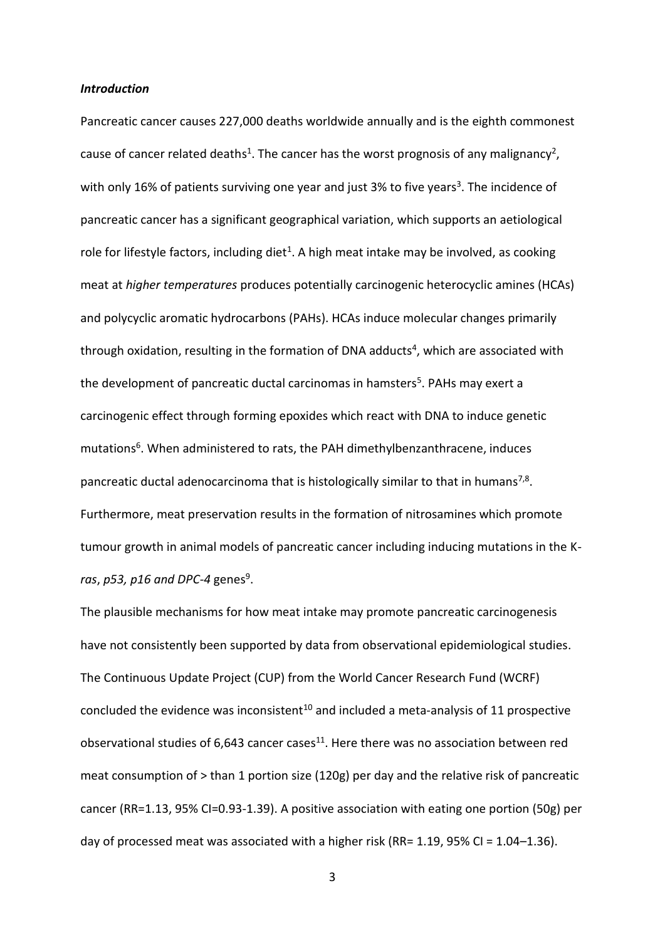#### *Introduction*

Pancreatic cancer causes 227,000 deaths worldwide annually and is the eighth commonest cause of cancer related deaths<sup>[1](#page-15-0)</sup>. The cancer has the worst prognosis of any malignancy<sup>[2](#page-15-1)</sup>, with only 16% of patients surviving one year and just [3](#page-15-2)% to five years<sup>3</sup>. The incidence of pancreatic cancer has a significant geographical variation, which supports an aetiological role for lifestyle factors, including diet<sup>[1](#page-15-0)</sup>. A high meat intake may be involved, as cooking meat at *higher temperatures* produces potentially carcinogenic heterocyclic amines (HCAs) and polycyclic aromatic hydrocarbons (PAHs). HCAs induce molecular changes primarily through oxidation, resulting in the formation of DNA adducts<sup>[4](#page-15-3)</sup>, which are associated with the development of pancreatic ductal carcinomas in hamsters<sup>[5](#page-15-4)</sup>. PAHs may exert a carcinogenic effect through forming epoxides which react with DNA to induce genetic mutations<sup>[6](#page-15-5)</sup>. When administered to rats, the PAH dimethylbenzanthracene, induces pancreatic ductal adenocarcinoma that is histologically similar to that in humans<sup>[7,](#page-15-6)[8](#page-15-7)</sup>. Furthermore, meat preservation results in the formation of nitrosamines which promote tumour growth in animal models of pancreatic cancer including inducing mutations in the K*ras, p53, p16 and DPC-4* genes<sup>[9](#page-15-8)</sup>.

The plausible mechanisms for how meat intake may promote pancreatic carcinogenesis have not consistently been supported by data from observational epidemiological studies. The Continuous Update Project (CUP) from the World Cancer Research Fund (WCRF) concluded the evidence was inconsistent<sup>[10](#page-15-9)</sup> and included a meta-analysis of 11 prospective observational studies of  $6,643$  cancer cases<sup>[11](#page-15-10)</sup>. Here there was no association between red meat consumption of > than 1 portion size (120g) per day and the relative risk of pancreatic cancer (RR=1.13, 95% CI=0.93-1.39). A positive association with eating one portion (50g) per day of processed meat was associated with a higher risk (RR= 1.19, 95% CI =  $1.04-1.36$ ).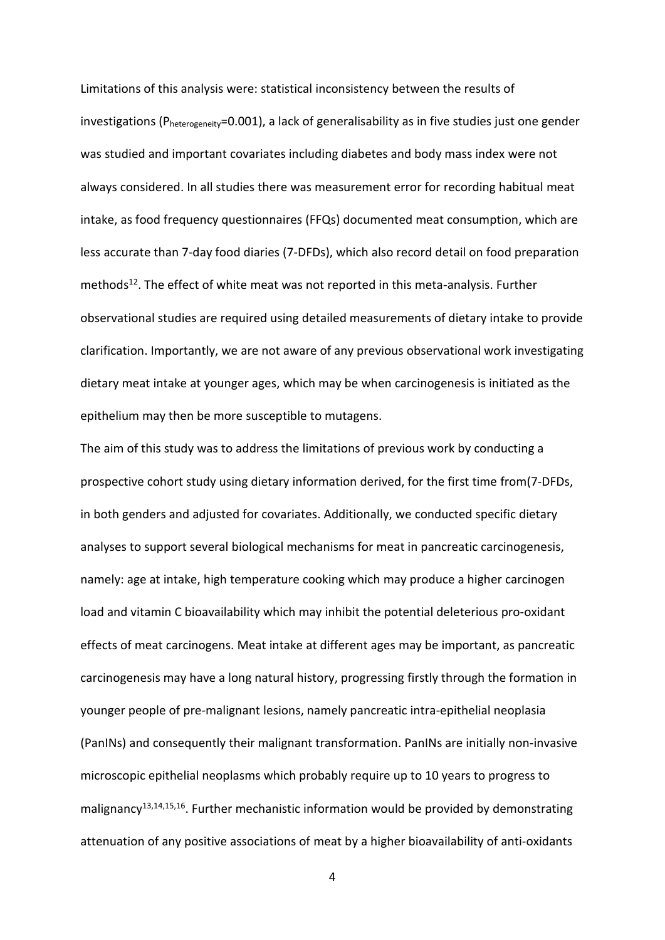Limitations of this analysis were: statistical inconsistency between the results of investigations (Pheterogeneity=0.001), a lack of generalisability as in five studies just one gender was studied and important covariates including diabetes and body mass index were not always considered. In all studies there was measurement error for recording habitual meat intake, as food frequency questionnaires (FFQs) documented meat consumption, which are less accurate than 7-day food diaries (7-DFDs), which also record detail on food preparation methods<sup>[12](#page-15-11)</sup>. The effect of white meat was not reported in this meta-analysis. Further observational studies are required using detailed measurements of dietary intake to provide clarification. Importantly, we are not aware of any previous observational work investigating dietary meat intake at younger ages, which may be when carcinogenesis is initiated as the epithelium may then be more susceptible to mutagens.

The aim of this study was to address the limitations of previous work by conducting a prospective cohort study using dietary information derived, for the first time from(7-DFDs, in both genders and adjusted for covariates. Additionally, we conducted specific dietary analyses to support several biological mechanisms for meat in pancreatic carcinogenesis, namely: age at intake, high temperature cooking which may produce a higher carcinogen load and vitamin C bioavailability which may inhibit the potential deleterious pro-oxidant effects of meat carcinogens. Meat intake at different ages may be important, as pancreatic carcinogenesis may have a long natural history, progressing firstly through the formation in younger people of pre-malignant lesions, namely pancreatic intra-epithelial neoplasia (PanINs) and consequently their malignant transformation. PanINs are initially non-invasive microscopic epithelial neoplasms which probably require up to 10 years to progress to malignancy<sup>[13,](#page-15-12)[14,](#page-16-0)[15,](#page-16-1)[16](#page-16-2)</sup>. Further mechanistic information would be provided by demonstrating attenuation of any positive associations of meat by a higher bioavailability of anti-oxidants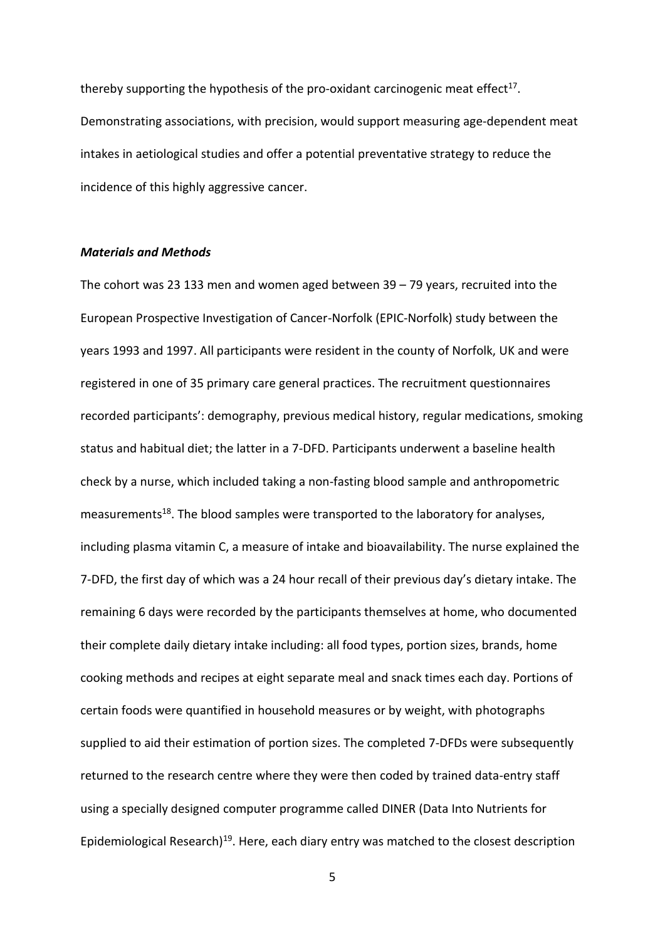thereby supporting the hypothesis of the pro-oxidant carcinogenic meat effect<sup>[17](#page-16-3)</sup>. Demonstrating associations, with precision, would support measuring age-dependent meat intakes in aetiological studies and offer a potential preventative strategy to reduce the incidence of this highly aggressive cancer.

#### *Materials and Methods*

The cohort was 23 133 men and women aged between 39 – 79 years, recruited into the European Prospective Investigation of Cancer-Norfolk (EPIC-Norfolk) study between the years 1993 and 1997. All participants were resident in the county of Norfolk, UK and were registered in one of 35 primary care general practices. The recruitment questionnaires recorded participants': demography, previous medical history, regular medications, smoking status and habitual diet; the latter in a 7-DFD. Participants underwent a baseline health check by a nurse, which included taking a non-fasting blood sample and anthropometric measurements<sup>[18](#page-16-4)</sup>. The blood samples were transported to the laboratory for analyses, including plasma vitamin C, a measure of intake and bioavailability. The nurse explained the 7-DFD, the first day of which was a 24 hour recall of their previous day's dietary intake. The remaining 6 days were recorded by the participants themselves at home, who documented their complete daily dietary intake including: all food types, portion sizes, brands, home cooking methods and recipes at eight separate meal and snack times each day. Portions of certain foods were quantified in household measures or by weight, with photographs supplied to aid their estimation of portion sizes. The completed 7-DFDs were subsequently returned to the research centre where they were then coded by trained data-entry staff using a specially designed computer programme called DINER (Data Into Nutrients for Epidemiological Research)<sup>[19](#page-16-5)</sup>. Here, each diary entry was matched to the closest description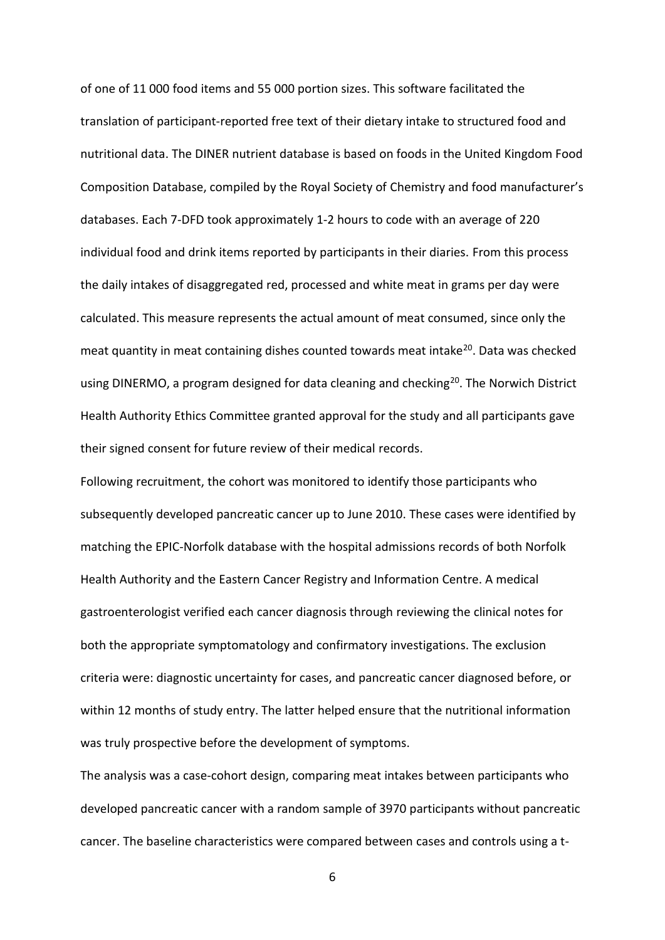of one of 11 000 food items and 55 000 portion sizes. This software facilitated the translation of participant-reported free text of their dietary intake to structured food and nutritional data. The DINER nutrient database is based on foods in the United Kingdom Food Composition Database, compiled by the Royal Society of Chemistry and food manufacturer's databases. Each 7-DFD took approximately 1-2 hours to code with an average of 220 individual food and drink items reported by participants in their diaries. From this process the daily intakes of disaggregated red, processed and white meat in grams per day were calculated. This measure represents the actual amount of meat consumed, since only the meat quantity in meat containing dishes counted towards meat intake<sup>[20](#page-16-6)</sup>. Data was checked using DINERMO, a program designed for data cleaning and checking<sup>[20](#page-16-6)</sup>. The Norwich District Health Authority Ethics Committee granted approval for the study and all participants gave their signed consent for future review of their medical records.

Following recruitment, the cohort was monitored to identify those participants who subsequently developed pancreatic cancer up to June 2010. These cases were identified by matching the EPIC-Norfolk database with the hospital admissions records of both Norfolk Health Authority and the Eastern Cancer Registry and Information Centre. A medical gastroenterologist verified each cancer diagnosis through reviewing the clinical notes for both the appropriate symptomatology and confirmatory investigations. The exclusion criteria were: diagnostic uncertainty for cases, and pancreatic cancer diagnosed before, or within 12 months of study entry. The latter helped ensure that the nutritional information was truly prospective before the development of symptoms.

The analysis was a case-cohort design, comparing meat intakes between participants who developed pancreatic cancer with a random sample of 3970 participants without pancreatic cancer. The baseline characteristics were compared between cases and controls using a t-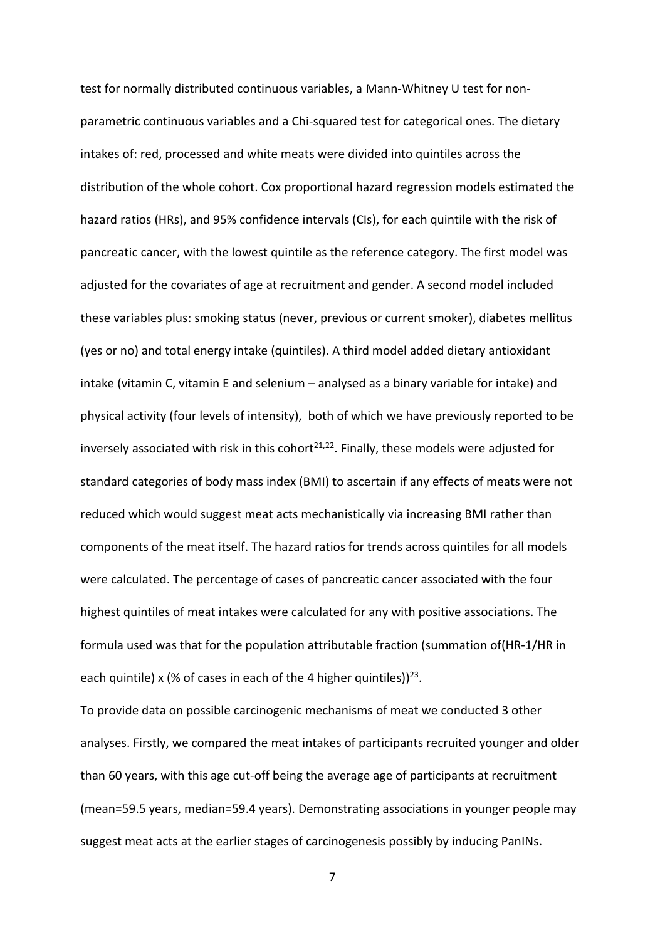test for normally distributed continuous variables, a Mann-Whitney U test for nonparametric continuous variables and a Chi-squared test for categorical ones. The dietary intakes of: red, processed and white meats were divided into quintiles across the distribution of the whole cohort. Cox proportional hazard regression models estimated the hazard ratios (HRs), and 95% confidence intervals (CIs), for each quintile with the risk of pancreatic cancer, with the lowest quintile as the reference category. The first model was adjusted for the covariates of age at recruitment and gender. A second model included these variables plus: smoking status (never, previous or current smoker), diabetes mellitus (yes or no) and total energy intake (quintiles). A third model added dietary antioxidant intake (vitamin C, vitamin E and selenium – analysed as a binary variable for intake) and physical activity (four levels of intensity), both of which we have previously reported to be inversely associated with risk in this cohort<sup>[21](#page-16-7)[,22](#page-16-8)</sup>. Finally, these models were adjusted for standard categories of body mass index (BMI) to ascertain if any effects of meats were not reduced which would suggest meat acts mechanistically via increasing BMI rather than components of the meat itself. The hazard ratios for trends across quintiles for all models were calculated. The percentage of cases of pancreatic cancer associated with the four highest quintiles of meat intakes were calculated for any with positive associations. The formula used was that for the population attributable fraction (summation of(HR-1/HR in each quintile) x (% of cases in each of the 4 higher quintiles))<sup>[23](#page-16-9)</sup>.

To provide data on possible carcinogenic mechanisms of meat we conducted 3 other analyses. Firstly, we compared the meat intakes of participants recruited younger and older than 60 years, with this age cut-off being the average age of participants at recruitment (mean=59.5 years, median=59.4 years). Demonstrating associations in younger people may suggest meat acts at the earlier stages of carcinogenesis possibly by inducing PanINs.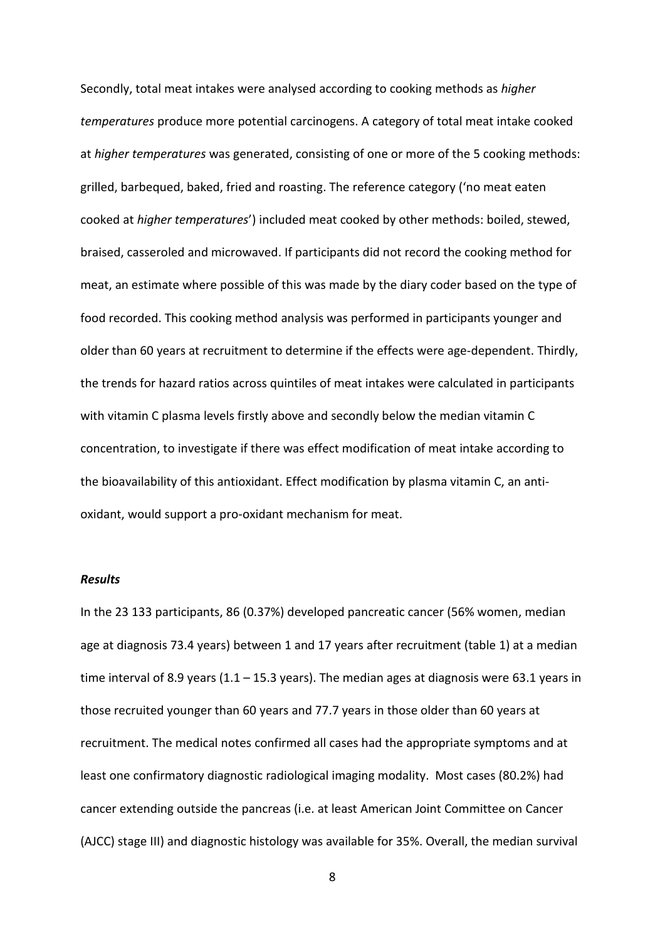Secondly, total meat intakes were analysed according to cooking methods as *higher temperatures* produce more potential carcinogens. A category of total meat intake cooked at *higher temperatures* was generated, consisting of one or more of the 5 cooking methods: grilled, barbequed, baked, fried and roasting. The reference category ('no meat eaten cooked at *higher temperatures*') included meat cooked by other methods: boiled, stewed, braised, casseroled and microwaved. If participants did not record the cooking method for meat, an estimate where possible of this was made by the diary coder based on the type of food recorded. This cooking method analysis was performed in participants younger and older than 60 years at recruitment to determine if the effects were age-dependent. Thirdly, the trends for hazard ratios across quintiles of meat intakes were calculated in participants with vitamin C plasma levels firstly above and secondly below the median vitamin C concentration, to investigate if there was effect modification of meat intake according to the bioavailability of this antioxidant. Effect modification by plasma vitamin C, an antioxidant, would support a pro-oxidant mechanism for meat.

### *Results*

In the 23 133 participants, 86 (0.37%) developed pancreatic cancer (56% women, median age at diagnosis 73.4 years) between 1 and 17 years after recruitment (table 1) at a median time interval of 8.9 years  $(1.1 - 15.3$  years). The median ages at diagnosis were 63.1 years in those recruited younger than 60 years and 77.7 years in those older than 60 years at recruitment. The medical notes confirmed all cases had the appropriate symptoms and at least one confirmatory diagnostic radiological imaging modality. Most cases (80.2%) had cancer extending outside the pancreas (i.e. at least American Joint Committee on Cancer (AJCC) stage III) and diagnostic histology was available for 35%. Overall, the median survival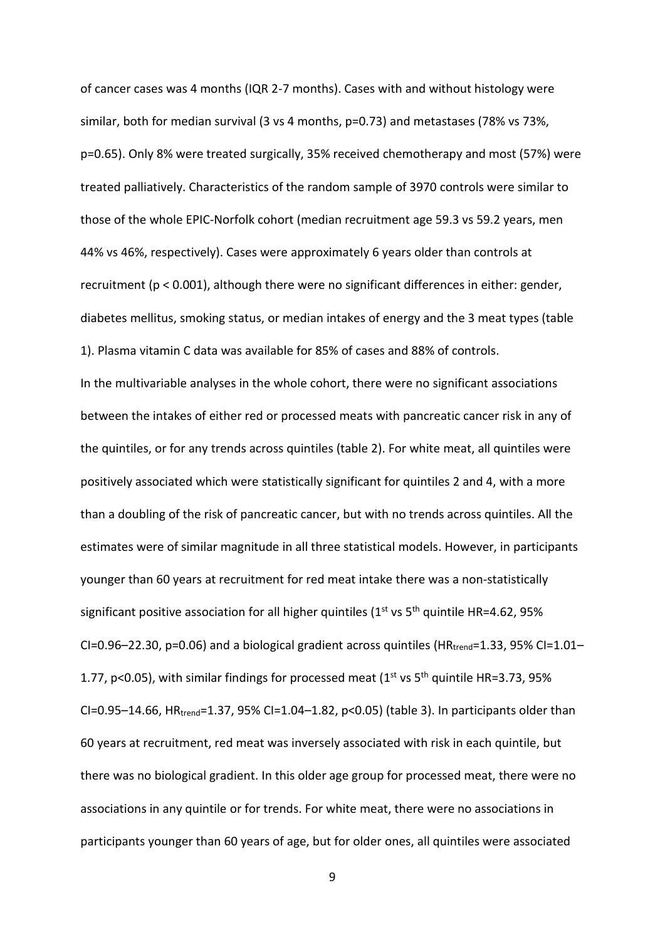of cancer cases was 4 months (IQR 2-7 months). Cases with and without histology were similar, both for median survival (3 vs 4 months, p=0.73) and metastases (78% vs 73%, p=0.65). Only 8% were treated surgically, 35% received chemotherapy and most (57%) were treated palliatively. Characteristics of the random sample of 3970 controls were similar to those of the whole EPIC-Norfolk cohort (median recruitment age 59.3 vs 59.2 years, men 44% vs 46%, respectively). Cases were approximately 6 years older than controls at recruitment (p < 0.001), although there were no significant differences in either: gender, diabetes mellitus, smoking status, or median intakes of energy and the 3 meat types (table 1). Plasma vitamin C data was available for 85% of cases and 88% of controls.

In the multivariable analyses in the whole cohort, there were no significant associations between the intakes of either red or processed meats with pancreatic cancer risk in any of the quintiles, or for any trends across quintiles (table 2). For white meat, all quintiles were positively associated which were statistically significant for quintiles 2 and 4, with a more than a doubling of the risk of pancreatic cancer, but with no trends across quintiles. All the estimates were of similar magnitude in all three statistical models. However, in participants younger than 60 years at recruitment for red meat intake there was a non-statistically significant positive association for all higher quintiles ( $1<sup>st</sup>$  vs  $5<sup>th</sup>$  quintile HR=4.62, 95% CI=0.96–22.30, p=0.06) and a biological gradient across quintiles ( $HR_{trend}$ =1.33, 95% CI=1.01– 1.77, p<0.05), with similar findings for processed meat  $(1^{st}$  vs  $5^{th}$  quintile HR=3.73, 95% CI=0.95–14.66,  $HR_{trend}$ =1.37, 95% CI=1.04–1.82, p<0.05) (table 3). In participants older than 60 years at recruitment, red meat was inversely associated with risk in each quintile, but there was no biological gradient. In this older age group for processed meat, there were no associations in any quintile or for trends. For white meat, there were no associations in participants younger than 60 years of age, but for older ones, all quintiles were associated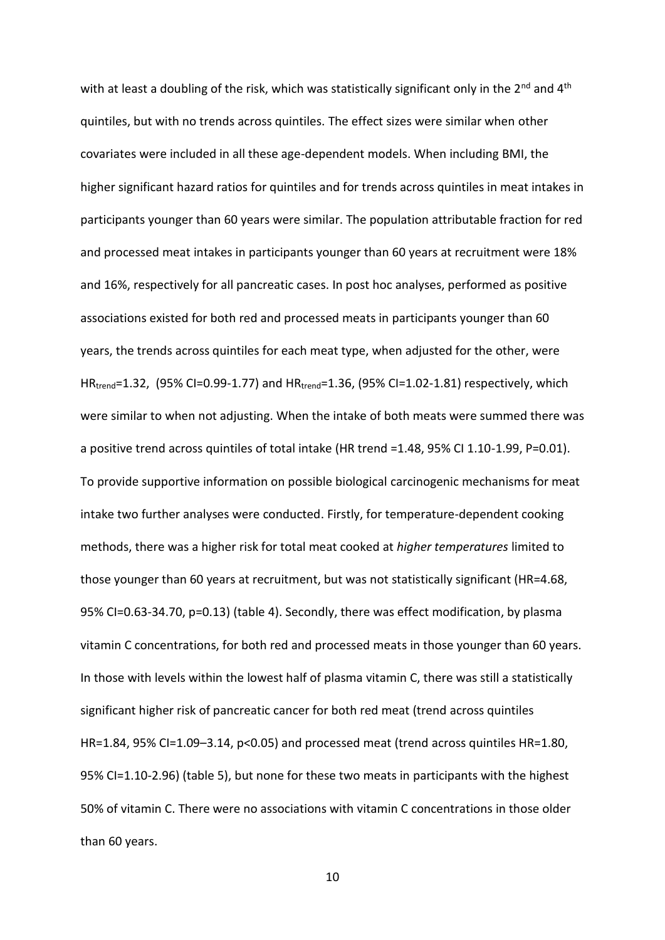with at least a doubling of the risk, which was statistically significant only in the  $2^{nd}$  and  $4^{th}$ quintiles, but with no trends across quintiles. The effect sizes were similar when other covariates were included in all these age-dependent models. When including BMI, the higher significant hazard ratios for quintiles and for trends across quintiles in meat intakes in participants younger than 60 years were similar. The population attributable fraction for red and processed meat intakes in participants younger than 60 years at recruitment were 18% and 16%, respectively for all pancreatic cases. In post hoc analyses, performed as positive associations existed for both red and processed meats in participants younger than 60 years, the trends across quintiles for each meat type, when adjusted for the other, were HRtrend=1.32, (95% CI=0.99-1.77) and HRtrend=1.36, (95% CI=1.02-1.81) respectively, which were similar to when not adjusting. When the intake of both meats were summed there was a positive trend across quintiles of total intake (HR trend =1.48, 95% CI 1.10-1.99, P=0.01). To provide supportive information on possible biological carcinogenic mechanisms for meat intake two further analyses were conducted. Firstly, for temperature-dependent cooking methods, there was a higher risk for total meat cooked at *higher temperatures* limited to those younger than 60 years at recruitment, but was not statistically significant (HR=4.68, 95% CI=0.63-34.70, p=0.13) (table 4). Secondly, there was effect modification, by plasma vitamin C concentrations, for both red and processed meats in those younger than 60 years. In those with levels within the lowest half of plasma vitamin C, there was still a statistically significant higher risk of pancreatic cancer for both red meat (trend across quintiles HR=1.84, 95% CI=1.09–3.14, p<0.05) and processed meat (trend across quintiles HR=1.80, 95% CI=1.10-2.96) (table 5), but none for these two meats in participants with the highest 50% of vitamin C. There were no associations with vitamin C concentrations in those older than 60 years.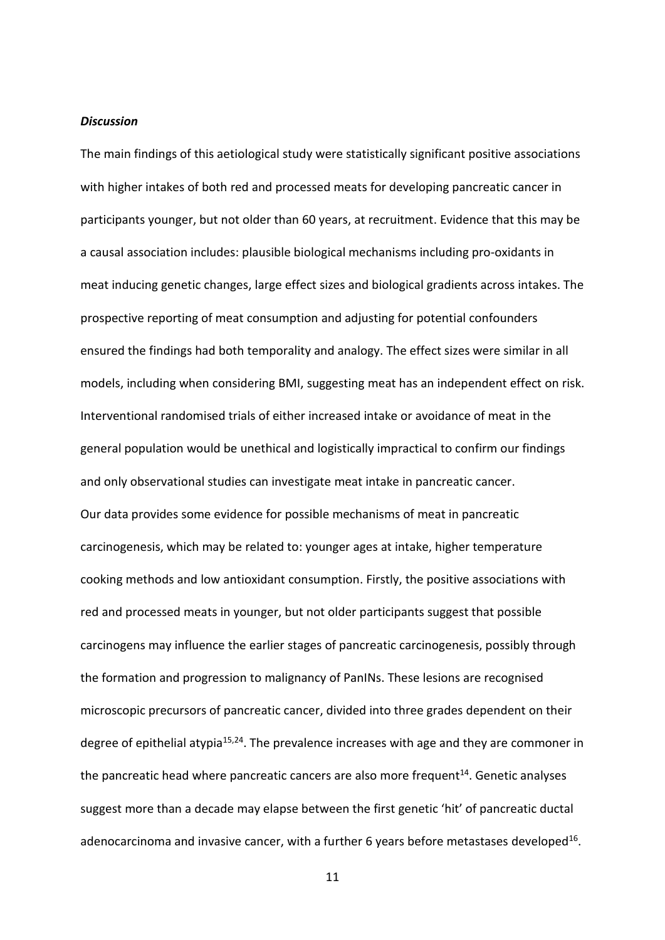### *Discussion*

The main findings of this aetiological study were statistically significant positive associations with higher intakes of both red and processed meats for developing pancreatic cancer in participants younger, but not older than 60 years, at recruitment. Evidence that this may be a causal association includes: plausible biological mechanisms including pro-oxidants in meat inducing genetic changes, large effect sizes and biological gradients across intakes. The prospective reporting of meat consumption and adjusting for potential confounders ensured the findings had both temporality and analogy. The effect sizes were similar in all models, including when considering BMI, suggesting meat has an independent effect on risk. Interventional randomised trials of either increased intake or avoidance of meat in the general population would be unethical and logistically impractical to confirm our findings and only observational studies can investigate meat intake in pancreatic cancer. Our data provides some evidence for possible mechanisms of meat in pancreatic carcinogenesis, which may be related to: younger ages at intake, higher temperature cooking methods and low antioxidant consumption. Firstly, the positive associations with red and processed meats in younger, but not older participants suggest that possible carcinogens may influence the earlier stages of pancreatic carcinogenesis, possibly through the formation and progression to malignancy of PanINs. These lesions are recognised microscopic precursors of pancreatic cancer, divided into three grades dependent on their degree of epithelial atypia<sup>[15,](#page-16-1)[24](#page-16-10)</sup>. The prevalence increases with age and they are commoner in the pancreatic head where pancreatic cancers are also more frequent<sup>[14](#page-16-0)</sup>. Genetic analyses suggest more than a decade may elapse between the first genetic 'hit' of pancreatic ductal adenocarcinoma and invasive cancer, with a further 6 years before metastases developed<sup>[16](#page-16-2)</sup>.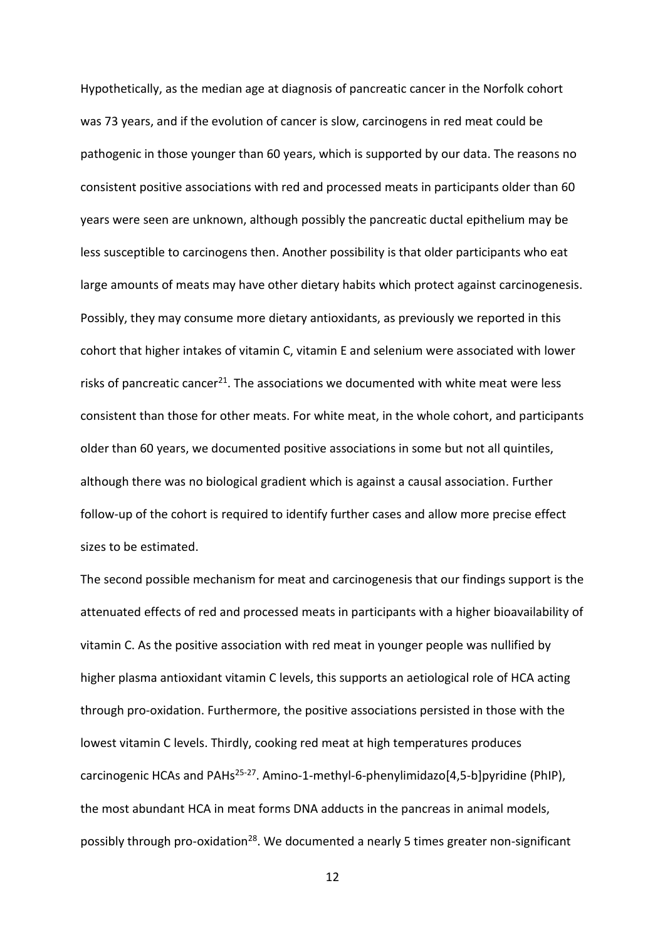Hypothetically, as the median age at diagnosis of pancreatic cancer in the Norfolk cohort was 73 years, and if the evolution of cancer is slow, carcinogens in red meat could be pathogenic in those younger than 60 years, which is supported by our data. The reasons no consistent positive associations with red and processed meats in participants older than 60 years were seen are unknown, although possibly the pancreatic ductal epithelium may be less susceptible to carcinogens then. Another possibility is that older participants who eat large amounts of meats may have other dietary habits which protect against carcinogenesis. Possibly, they may consume more dietary antioxidants, as previously we reported in this cohort that higher intakes of vitamin C, vitamin E and selenium were associated with lower risks of pancreatic cancer<sup>[21](#page-16-7)</sup>. The associations we documented with white meat were less consistent than those for other meats. For white meat, in the whole cohort, and participants older than 60 years, we documented positive associations in some but not all quintiles, although there was no biological gradient which is against a causal association. Further follow-up of the cohort is required to identify further cases and allow more precise effect sizes to be estimated.

The second possible mechanism for meat and carcinogenesis that our findings support is the attenuated effects of red and processed meats in participants with a higher bioavailability of vitamin C. As the positive association with red meat in younger people was nullified by higher plasma antioxidant vitamin C levels, this supports an aetiological role of HCA acting through pro-oxidation. Furthermore, the positive associations persisted in those with the lowest vitamin C levels. Thirdly, cooking red meat at high temperatures produces carcinogenic HCAs and PAHs<sup>[25-27](#page-16-11)</sup>. Amino-1-methyl-6-phenylimidazo[4,5-b]pyridine (PhIP), the most abundant HCA in meat forms DNA adducts in the pancreas in animal models, possibly through pro-oxidation<sup>[28](#page-16-12)</sup>. We documented a nearly 5 times greater non-significant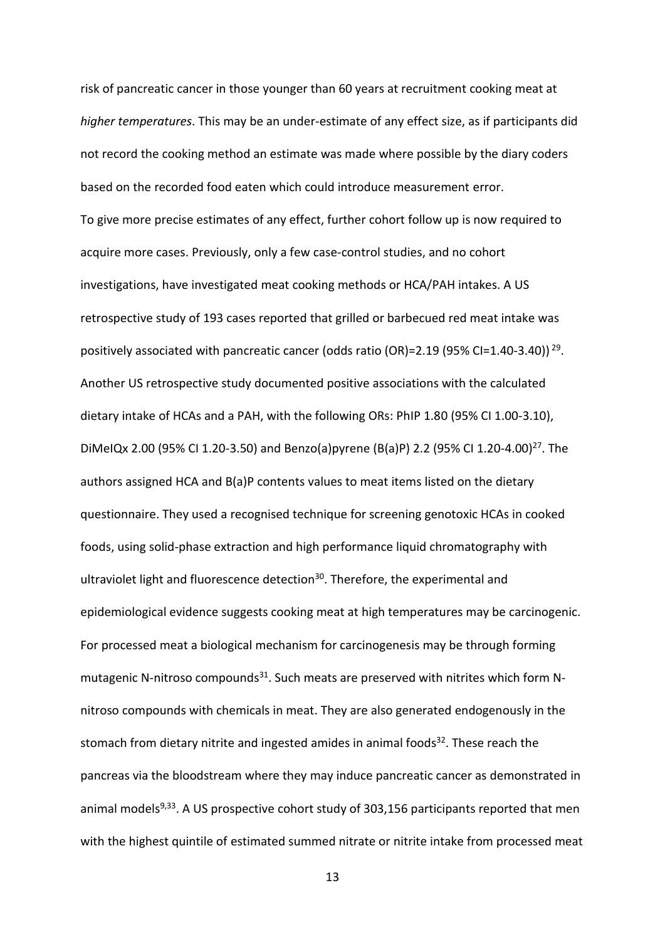risk of pancreatic cancer in those younger than 60 years at recruitment cooking meat at *higher temperatures*. This may be an under-estimate of any effect size, as if participants did not record the cooking method an estimate was made where possible by the diary coders based on the recorded food eaten which could introduce measurement error. To give more precise estimates of any effect, further cohort follow up is now required to acquire more cases. Previously, only a few case-control studies, and no cohort investigations, have investigated meat cooking methods or HCA/PAH intakes. A US retrospective study of 193 cases reported that grilled or barbecued red meat intake was positively associated with pancreatic cancer (odds ratio (OR)=2.19 (95% CI=1.40-3.40))<sup>[29](#page-16-13)</sup>. Another US retrospective study documented positive associations with the calculated dietary intake of HCAs and a PAH, with the following ORs: PhIP 1.80 (95% CI 1.00-3.10), DiMeIQx 2.00 (95% CI 1.20-3.50) and Benzo(a)pyrene (B(a)P) 2.2 (95% CI 1.20-4.00)[27](#page-16-14). The authors assigned HCA and B(a)P contents values to meat items listed on the dietary questionnaire. They used a recognised technique for screening genotoxic HCAs in cooked foods, using solid-phase extraction and high performance liquid chromatography with ultraviolet light and fluorescence detection<sup>[30](#page-16-15)</sup>. Therefore, the experimental and epidemiological evidence suggests cooking meat at high temperatures may be carcinogenic. For processed meat a biological mechanism for carcinogenesis may be through forming mutagenic N-nitroso compounds<sup>[31](#page-17-0)</sup>. Such meats are preserved with nitrites which form Nnitroso compounds with chemicals in meat. They are also generated endogenously in the stomach from dietary nitrite and ingested amides in animal foods $32$ . These reach the pancreas via the bloodstream where they may induce pancreatic cancer as demonstrated in animal models<sup>[9,](#page-15-8)[33](#page-17-2)</sup>. A US prospective cohort study of 303,156 participants reported that men with the highest quintile of estimated summed nitrate or nitrite intake from processed meat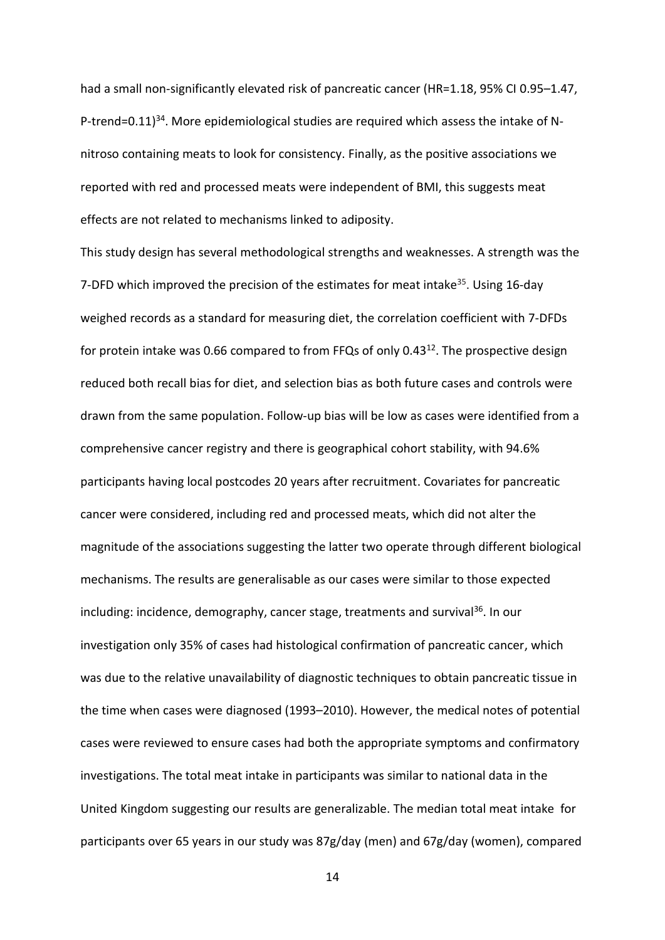had a small non-significantly elevated risk of pancreatic cancer (HR=1.18, 95% CI 0.95-1.47, P-trend=0.11)<sup>[34](#page-17-3)</sup>. More epidemiological studies are required which assess the intake of Nnitroso containing meats to look for consistency. Finally, as the positive associations we reported with red and processed meats were independent of BMI, this suggests meat effects are not related to mechanisms linked to adiposity.

This study design has several methodological strengths and weaknesses. A strength was the 7-DFD which improved the precision of the estimates for meat intake<sup>[35](#page-17-4)</sup>. Using 16-day weighed records as a standard for measuring diet, the correlation coefficient with 7-DFDs for protein intake was 0.66 compared to from FFQs of only 0.43 $^{12}$  $^{12}$  $^{12}$ . The prospective design reduced both recall bias for diet, and selection bias as both future cases and controls were drawn from the same population. Follow-up bias will be low as cases were identified from a comprehensive cancer registry and there is geographical cohort stability, with 94.6% participants having local postcodes 20 years after recruitment. Covariates for pancreatic cancer were considered, including red and processed meats, which did not alter the magnitude of the associations suggesting the latter two operate through different biological mechanisms. The results are generalisable as our cases were similar to those expected including: incidence, demography, cancer stage, treatments and survival<sup>[36](#page-17-5)</sup>. In our investigation only 35% of cases had histological confirmation of pancreatic cancer, which was due to the relative unavailability of diagnostic techniques to obtain pancreatic tissue in the time when cases were diagnosed (1993–2010). However, the medical notes of potential cases were reviewed to ensure cases had both the appropriate symptoms and confirmatory investigations. The total meat intake in participants was similar to national data in the United Kingdom suggesting our results are generalizable. The median total meat intake for participants over 65 years in our study was 87g/day (men) and 67g/day (women), compared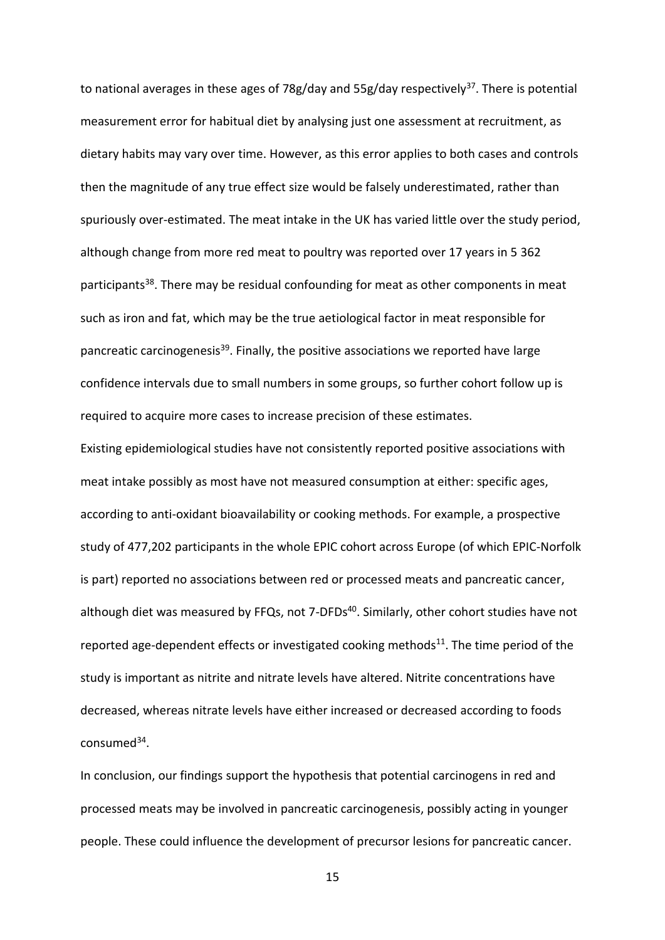to national averages in these ages of 78g/day and 55g/day respectively<sup>[37](#page-17-6)</sup>. There is potential measurement error for habitual diet by analysing just one assessment at recruitment, as dietary habits may vary over time. However, as this error applies to both cases and controls then the magnitude of any true effect size would be falsely underestimated, rather than spuriously over-estimated. The meat intake in the UK has varied little over the study period, although change from more red meat to poultry was reported over 17 years in 5 362 participants<sup>[38](#page-17-7)</sup>. There may be residual confounding for meat as other components in meat such as iron and fat, which may be the true aetiological factor in meat responsible for pancreatic carcinogenesis<sup>[39](#page-17-8)</sup>. Finally, the positive associations we reported have large confidence intervals due to small numbers in some groups, so further cohort follow up is required to acquire more cases to increase precision of these estimates.

Existing epidemiological studies have not consistently reported positive associations with meat intake possibly as most have not measured consumption at either: specific ages, according to anti-oxidant bioavailability or cooking methods. For example, a prospective study of 477,202 participants in the whole EPIC cohort across Europe (of which EPIC-Norfolk is part) reported no associations between red or processed meats and pancreatic cancer, although diet was measured by FFQs, not 7-DFDs<sup>[40](#page-17-9)</sup>. Similarly, other cohort studies have not reported age-dependent effects or investigated cooking methods<sup>[11](#page-15-10)</sup>. The time period of the study is important as nitrite and nitrate levels have altered. Nitrite concentrations have decreased, whereas nitrate levels have either increased or decreased according to foods consumed<sup>[34](#page-17-3)</sup>.

In conclusion, our findings support the hypothesis that potential carcinogens in red and processed meats may be involved in pancreatic carcinogenesis, possibly acting in younger people. These could influence the development of precursor lesions for pancreatic cancer.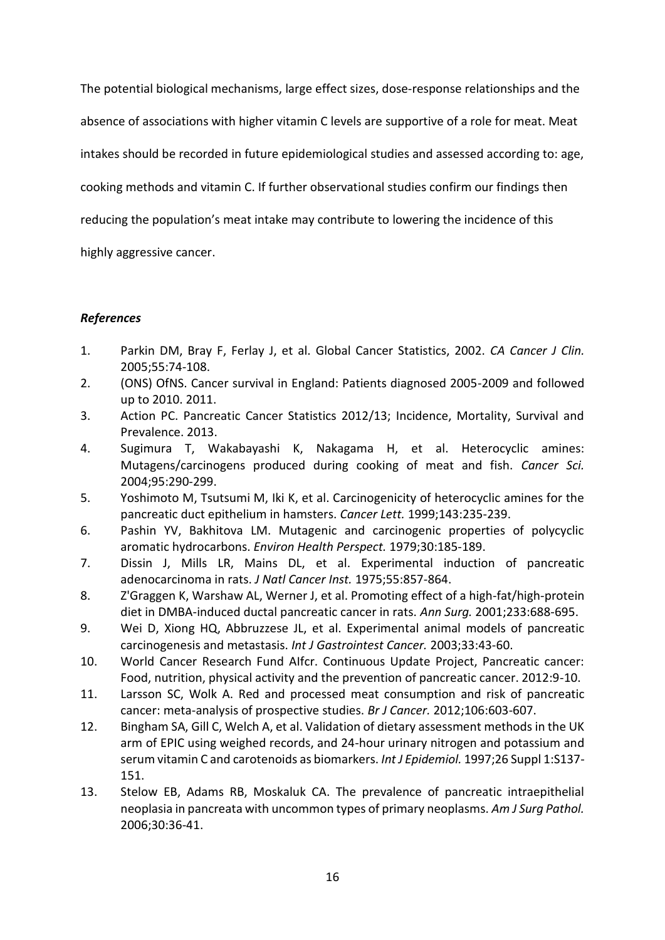The potential biological mechanisms, large effect sizes, dose-response relationships and the absence of associations with higher vitamin C levels are supportive of a role for meat. Meat intakes should be recorded in future epidemiological studies and assessed according to: age, cooking methods and vitamin C. If further observational studies confirm our findings then reducing the population's meat intake may contribute to lowering the incidence of this highly aggressive cancer.

# *References*

- <span id="page-15-0"></span>1. Parkin DM, Bray F, Ferlay J, et al. Global Cancer Statistics, 2002. *CA Cancer J Clin.*  2005;55:74-108.
- <span id="page-15-1"></span>2. (ONS) OfNS. Cancer survival in England: Patients diagnosed 2005-2009 and followed up to 2010. 2011.
- <span id="page-15-2"></span>3. Action PC. Pancreatic Cancer Statistics 2012/13; Incidence, Mortality, Survival and Prevalence. 2013.
- <span id="page-15-3"></span>4. Sugimura T, Wakabayashi K, Nakagama H, et al. Heterocyclic amines: Mutagens/carcinogens produced during cooking of meat and fish. *Cancer Sci.*  2004;95:290-299.
- <span id="page-15-4"></span>5. Yoshimoto M, Tsutsumi M, Iki K, et al. Carcinogenicity of heterocyclic amines for the pancreatic duct epithelium in hamsters. *Cancer Lett.* 1999;143:235-239.
- <span id="page-15-5"></span>6. Pashin YV, Bakhitova LM. Mutagenic and carcinogenic properties of polycyclic aromatic hydrocarbons. *Environ Health Perspect.* 1979;30:185-189.
- <span id="page-15-6"></span>7. Dissin J, Mills LR, Mains DL, et al. Experimental induction of pancreatic adenocarcinoma in rats. *J Natl Cancer Inst.* 1975;55:857-864.
- <span id="page-15-7"></span>8. Z'Graggen K, Warshaw AL, Werner J, et al. Promoting effect of a high-fat/high-protein diet in DMBA-induced ductal pancreatic cancer in rats. *Ann Surg.* 2001;233:688-695.
- <span id="page-15-8"></span>9. Wei D, Xiong HQ, Abbruzzese JL, et al. Experimental animal models of pancreatic carcinogenesis and metastasis. *Int J Gastrointest Cancer.* 2003;33:43-60.
- <span id="page-15-9"></span>10. World Cancer Research Fund AIfcr. Continuous Update Project, Pancreatic cancer: Food, nutrition, physical activity and the prevention of pancreatic cancer. 2012:9-10.
- <span id="page-15-10"></span>11. Larsson SC, Wolk A. Red and processed meat consumption and risk of pancreatic cancer: meta-analysis of prospective studies. *Br J Cancer.* 2012;106:603-607.
- <span id="page-15-11"></span>12. Bingham SA, Gill C, Welch A, et al. Validation of dietary assessment methods in the UK arm of EPIC using weighed records, and 24-hour urinary nitrogen and potassium and serum vitamin C and carotenoids as biomarkers. *Int J Epidemiol.* 1997;26 Suppl 1:S137- 151.
- <span id="page-15-12"></span>13. Stelow EB, Adams RB, Moskaluk CA. The prevalence of pancreatic intraepithelial neoplasia in pancreata with uncommon types of primary neoplasms. *Am J Surg Pathol.*  2006;30:36-41.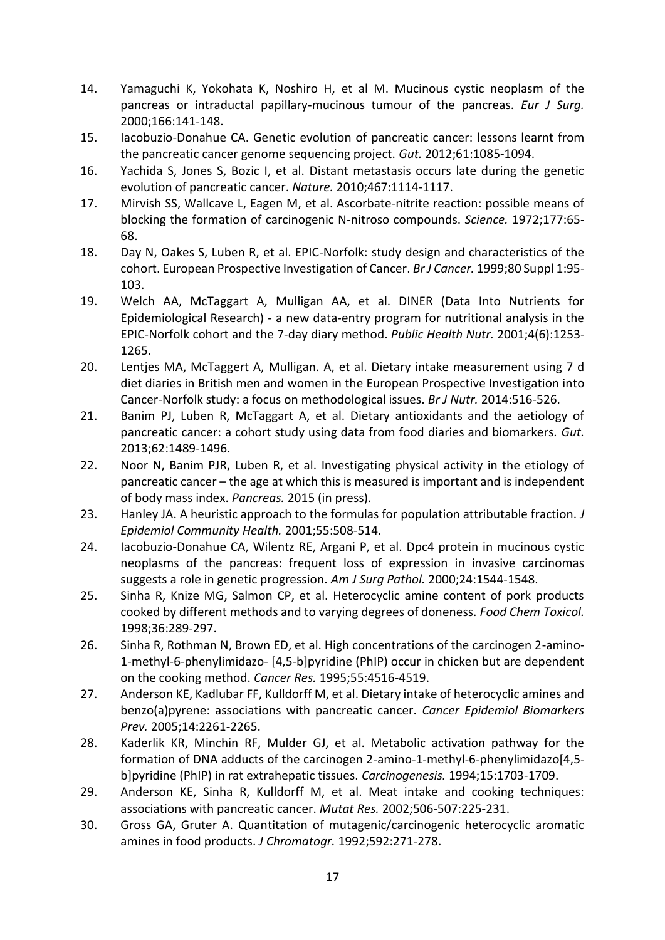- <span id="page-16-0"></span>14. Yamaguchi K, Yokohata K, Noshiro H, et al M. Mucinous cystic neoplasm of the pancreas or intraductal papillary-mucinous tumour of the pancreas. *Eur J Surg.*  2000;166:141-148.
- <span id="page-16-1"></span>15. Iacobuzio-Donahue CA. Genetic evolution of pancreatic cancer: lessons learnt from the pancreatic cancer genome sequencing project. *Gut.* 2012;61:1085-1094.
- <span id="page-16-2"></span>16. Yachida S, Jones S, Bozic I, et al. Distant metastasis occurs late during the genetic evolution of pancreatic cancer. *Nature.* 2010;467:1114-1117.
- <span id="page-16-3"></span>17. Mirvish SS, Wallcave L, Eagen M, et al. Ascorbate-nitrite reaction: possible means of blocking the formation of carcinogenic N-nitroso compounds. *Science.* 1972;177:65- 68.
- <span id="page-16-4"></span>18. Day N, Oakes S, Luben R, et al. EPIC-Norfolk: study design and characteristics of the cohort. European Prospective Investigation of Cancer. *Br J Cancer.* 1999;80 Suppl 1:95- 103.
- <span id="page-16-5"></span>19. Welch AA, McTaggart A, Mulligan AA, et al. DINER (Data Into Nutrients for Epidemiological Research) - a new data-entry program for nutritional analysis in the EPIC-Norfolk cohort and the 7-day diary method. *Public Health Nutr.* 2001;4(6):1253- 1265.
- <span id="page-16-6"></span>20. Lentjes MA, McTaggert A, Mulligan. A, et al. Dietary intake measurement using 7 d diet diaries in British men and women in the European Prospective Investigation into Cancer-Norfolk study: a focus on methodological issues. *Br J Nutr.* 2014:516-526.
- <span id="page-16-7"></span>21. Banim PJ, Luben R, McTaggart A, et al. Dietary antioxidants and the aetiology of pancreatic cancer: a cohort study using data from food diaries and biomarkers. *Gut.*  2013;62:1489-1496.
- <span id="page-16-8"></span>22. Noor N, Banim PJR, Luben R, et al. Investigating physical activity in the etiology of pancreatic cancer – the age at which this is measured is important and is independent of body mass index. *Pancreas.* 2015 (in press).
- <span id="page-16-9"></span>23. Hanley JA. A heuristic approach to the formulas for population attributable fraction. *J Epidemiol Community Health.* 2001;55:508-514.
- <span id="page-16-10"></span>24. Iacobuzio-Donahue CA, Wilentz RE, Argani P, et al. Dpc4 protein in mucinous cystic neoplasms of the pancreas: frequent loss of expression in invasive carcinomas suggests a role in genetic progression. *Am J Surg Pathol.* 2000;24:1544-1548.
- <span id="page-16-11"></span>25. Sinha R, Knize MG, Salmon CP, et al. Heterocyclic amine content of pork products cooked by different methods and to varying degrees of doneness. *Food Chem Toxicol.*  1998;36:289-297.
- 26. Sinha R, Rothman N, Brown ED, et al. High concentrations of the carcinogen 2-amino-1-methyl-6-phenylimidazo- [4,5-b]pyridine (PhIP) occur in chicken but are dependent on the cooking method. *Cancer Res.* 1995;55:4516-4519.
- <span id="page-16-14"></span>27. Anderson KE, Kadlubar FF, Kulldorff M, et al. Dietary intake of heterocyclic amines and benzo(a)pyrene: associations with pancreatic cancer. *Cancer Epidemiol Biomarkers Prev.* 2005;14:2261-2265.
- <span id="page-16-12"></span>28. Kaderlik KR, Minchin RF, Mulder GJ, et al. Metabolic activation pathway for the formation of DNA adducts of the carcinogen 2-amino-1-methyl-6-phenylimidazo[4,5 b]pyridine (PhIP) in rat extrahepatic tissues. *Carcinogenesis.* 1994;15:1703-1709.
- <span id="page-16-13"></span>29. Anderson KE, Sinha R, Kulldorff M, et al. Meat intake and cooking techniques: associations with pancreatic cancer. *Mutat Res.* 2002;506-507:225-231.
- <span id="page-16-15"></span>30. Gross GA, Gruter A. Quantitation of mutagenic/carcinogenic heterocyclic aromatic amines in food products. *J Chromatogr.* 1992;592:271-278.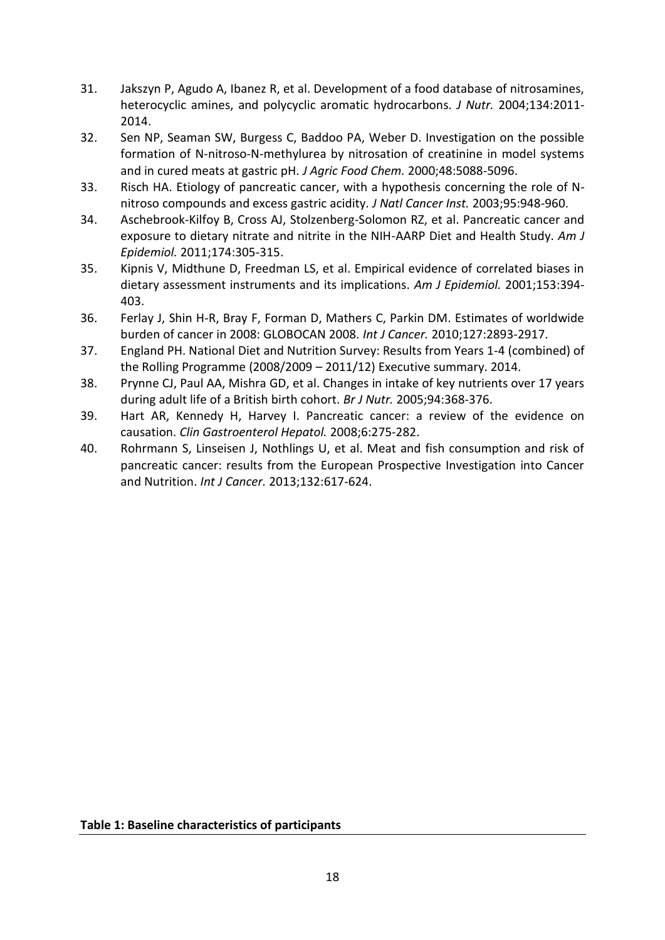- <span id="page-17-0"></span>31. Jakszyn P, Agudo A, Ibanez R, et al. Development of a food database of nitrosamines, heterocyclic amines, and polycyclic aromatic hydrocarbons. *J Nutr.* 2004;134:2011- 2014.
- <span id="page-17-1"></span>32. Sen NP, Seaman SW, Burgess C, Baddoo PA, Weber D. Investigation on the possible formation of N-nitroso-N-methylurea by nitrosation of creatinine in model systems and in cured meats at gastric pH. *J Agric Food Chem.* 2000;48:5088-5096.
- <span id="page-17-2"></span>33. Risch HA. Etiology of pancreatic cancer, with a hypothesis concerning the role of Nnitroso compounds and excess gastric acidity. *J Natl Cancer Inst.* 2003;95:948-960.
- <span id="page-17-3"></span>34. Aschebrook-Kilfoy B, Cross AJ, Stolzenberg-Solomon RZ, et al. Pancreatic cancer and exposure to dietary nitrate and nitrite in the NIH-AARP Diet and Health Study. *Am J Epidemiol.* 2011;174:305-315.
- <span id="page-17-4"></span>35. Kipnis V, Midthune D, Freedman LS, et al. Empirical evidence of correlated biases in dietary assessment instruments and its implications. *Am J Epidemiol.* 2001;153:394- 403.
- <span id="page-17-5"></span>36. Ferlay J, Shin H-R, Bray F, Forman D, Mathers C, Parkin DM. Estimates of worldwide burden of cancer in 2008: GLOBOCAN 2008. *Int J Cancer.* 2010;127:2893-2917.
- <span id="page-17-6"></span>37. England PH. National Diet and Nutrition Survey: Results from Years 1-4 (combined) of the Rolling Programme (2008/2009 – 2011/12) Executive summary. 2014.
- <span id="page-17-7"></span>38. Prynne CJ, Paul AA, Mishra GD, et al. Changes in intake of key nutrients over 17 years during adult life of a British birth cohort. *Br J Nutr.* 2005;94:368-376.
- <span id="page-17-8"></span>39. Hart AR, Kennedy H, Harvey I. Pancreatic cancer: a review of the evidence on causation. *Clin Gastroenterol Hepatol.* 2008;6:275-282.
- <span id="page-17-9"></span>40. Rohrmann S, Linseisen J, Nothlings U, et al. Meat and fish consumption and risk of pancreatic cancer: results from the European Prospective Investigation into Cancer and Nutrition. *Int J Cancer.* 2013;132:617-624.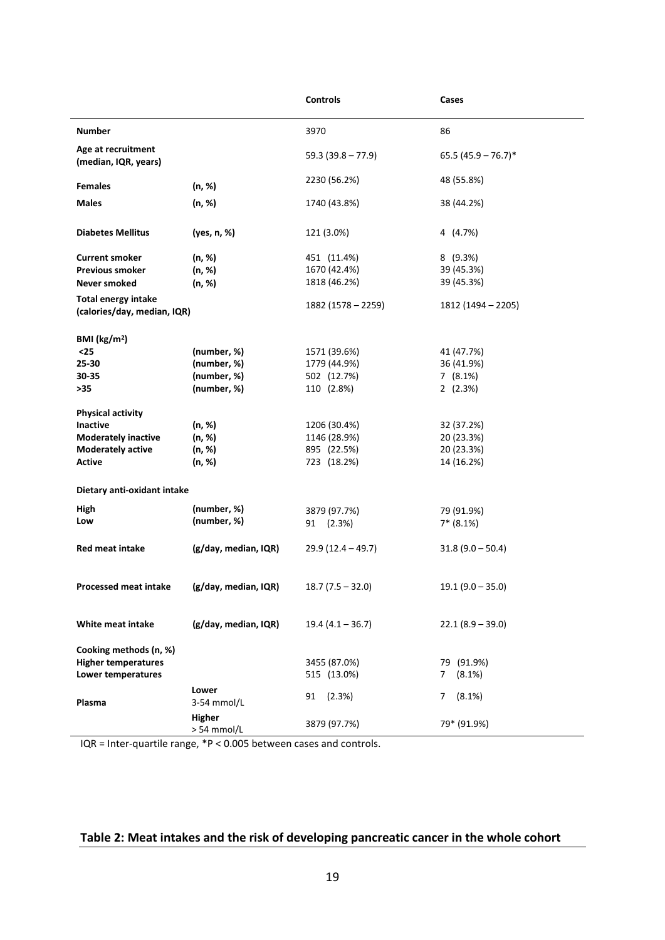|                                                           |                      | <b>Controls</b>     | Cases                 |  |
|-----------------------------------------------------------|----------------------|---------------------|-----------------------|--|
| <b>Number</b>                                             |                      | 3970                | 86                    |  |
| Age at recruitment<br>(median, IQR, years)                |                      | $59.3(39.8 - 77.9)$ | $65.5(45.9 - 76.7)^*$ |  |
| <b>Females</b>                                            | (n, %)               | 2230 (56.2%)        | 48 (55.8%)            |  |
| <b>Males</b>                                              | (n, %)               | 1740 (43.8%)        | 38 (44.2%)            |  |
| <b>Diabetes Mellitus</b>                                  | (yes, n, %)          | 121 (3.0%)          | 4 (4.7%)              |  |
| <b>Current smoker</b>                                     | (n, %)               | 451 (11.4%)         | 8(9.3%)               |  |
| <b>Previous smoker</b>                                    | (n, %)               | 1670 (42.4%)        | 39 (45.3%)            |  |
| Never smoked                                              | (n, %)               | 1818 (46.2%)        | 39 (45.3%)            |  |
| <b>Total energy intake</b><br>(calories/day, median, IQR) |                      | 1882 (1578 – 2259)  | 1812 (1494 – 2205)    |  |
| BMI ( $\text{kg/m}^2$ )                                   |                      |                     |                       |  |
| $25$                                                      | (number, %)          | 1571 (39.6%)        | 41 (47.7%)            |  |
| 25-30                                                     | (number, %)          | 1779 (44.9%)        | 36 (41.9%)            |  |
| 30-35                                                     | (number, %)          | 502 (12.7%)         | 7(8.1%)               |  |
| >35                                                       | (number, %)          | 110 (2.8%)          | 2(2.3%)               |  |
| <b>Physical activity</b>                                  |                      |                     |                       |  |
| <b>Inactive</b>                                           | (n, %)               | 1206 (30.4%)        | 32 (37.2%)            |  |
| <b>Moderately inactive</b>                                | (n, %)               | 1146 (28.9%)        | 20 (23.3%)            |  |
| <b>Moderately active</b>                                  | (n, %)               | 895 (22.5%)         | 20 (23.3%)            |  |
| <b>Active</b>                                             | (n, %)               | 723 (18.2%)         | 14 (16.2%)            |  |
| Dietary anti-oxidant intake                               |                      |                     |                       |  |
| High                                                      | (number, %)          |                     |                       |  |
| Low                                                       | (number, %)          | 3879 (97.7%)        | 79 (91.9%)            |  |
|                                                           |                      | 91 (2.3%)           | $7* (8.1%)$           |  |
| <b>Red meat intake</b>                                    | (g/day, median, IQR) | $29.9(12.4 - 49.7)$ | $31.8(9.0 - 50.4)$    |  |
| <b>Processed meat intake</b>                              | (g/day, median, IQR) | $18.7(7.5 - 32.0)$  | $19.1(9.0 - 35.0)$    |  |
| White meat intake                                         | (g/day, median, IQR) | $19.4(4.1 - 36.7)$  | $22.1(8.9 - 39.0)$    |  |
| Cooking methods (n, %)                                    |                      |                     |                       |  |
| <b>Higher temperatures</b>                                |                      | 3455 (87.0%)        | 79 (91.9%)            |  |
| Lower temperatures                                        |                      | 515 (13.0%)         | (8.1%)<br>7           |  |
|                                                           | Lower                |                     |                       |  |
| <b>Plasma</b>                                             | 3-54 mmol/L          | (2.3%)<br>91        | $(8.1\%)$<br>7        |  |
|                                                           | Higher               |                     |                       |  |
|                                                           | > 54 mmol/L          | 3879 (97.7%)        | 79* (91.9%)           |  |
|                                                           |                      |                     |                       |  |

IQR = Inter-quartile range, \*P < 0.005 between cases and controls.

# **Table 2: Meat intakes and the risk of developing pancreatic cancer in the whole cohort**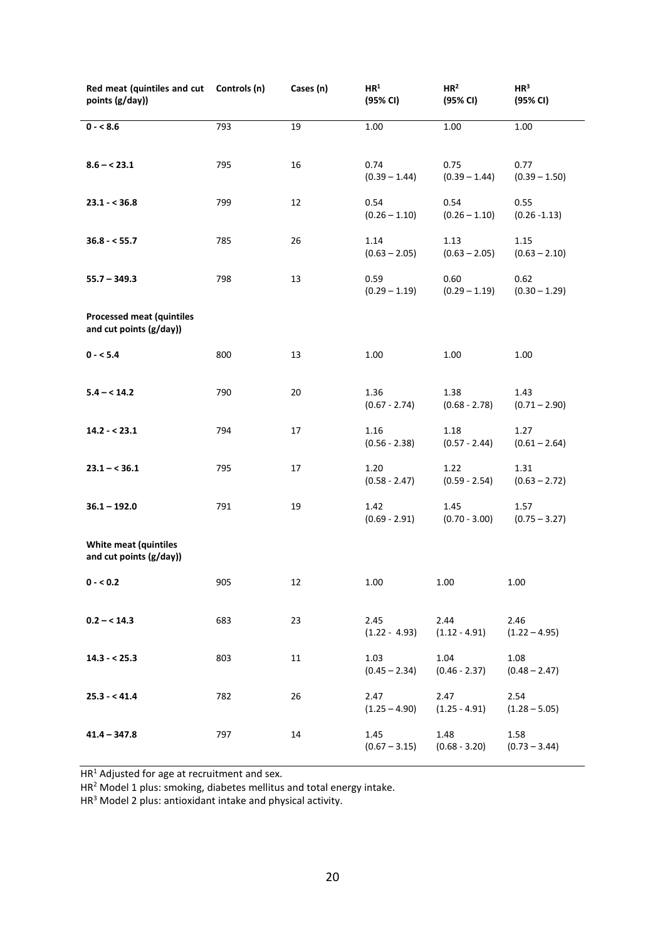| Red meat (quintiles and cut Controls (n)<br>points (g/day)) |     | Cases (n) | HR <sup>1</sup><br>(95% CI) | HR <sup>2</sup><br>(95% CI) | HR <sup>3</sup><br>(95% CI) |
|-------------------------------------------------------------|-----|-----------|-----------------------------|-----------------------------|-----------------------------|
| $0 - 8.6$                                                   | 793 | 19        | 1.00                        | 1.00                        | 1.00                        |
| $8.6 - < 23.1$                                              | 795 | 16        | 0.74<br>$(0.39 - 1.44)$     | 0.75<br>$(0.39 - 1.44)$     | 0.77<br>$(0.39 - 1.50)$     |
| $23.1 - 536.8$                                              | 799 | 12        | 0.54<br>$(0.26 - 1.10)$     | 0.54<br>$(0.26 - 1.10)$     | 0.55<br>$(0.26 - 1.13)$     |
| $36.8 - 55.7$                                               | 785 | 26        | 1.14<br>$(0.63 - 2.05)$     | 1.13<br>$(0.63 - 2.05)$     | 1.15<br>$(0.63 - 2.10)$     |
| $55.7 - 349.3$                                              | 798 | 13        | 0.59<br>$(0.29 - 1.19)$     | 0.60<br>$(0.29 - 1.19)$     | 0.62<br>$(0.30 - 1.29)$     |
| <b>Processed meat (quintiles</b><br>and cut points (g/day)) |     |           |                             |                             |                             |
| $0 - 5.4$                                                   | 800 | 13        | 1.00                        | 1.00                        | 1.00                        |
| $5.4 - < 14.2$                                              | 790 | 20        | 1.36<br>$(0.67 - 2.74)$     | 1.38<br>$(0.68 - 2.78)$     | 1.43<br>$(0.71 - 2.90)$     |
| $14.2 - 23.1$                                               | 794 | 17        | 1.16<br>$(0.56 - 2.38)$     | 1.18<br>$(0.57 - 2.44)$     | 1.27<br>$(0.61 - 2.64)$     |
| $23.1 - 536.1$                                              | 795 | 17        | 1.20<br>$(0.58 - 2.47)$     | 1.22<br>$(0.59 - 2.54)$     | 1.31<br>$(0.63 - 2.72)$     |
| $36.1 - 192.0$                                              | 791 | 19        | 1.42<br>$(0.69 - 2.91)$     | 1.45<br>$(0.70 - 3.00)$     | 1.57<br>$(0.75 - 3.27)$     |
| <b>White meat (quintiles</b><br>and cut points (g/day))     |     |           |                             |                             |                             |
| $0 - 0.2$                                                   | 905 | 12        | 1.00                        | 1.00                        | 1.00                        |
| $0.2 - < 14.3$                                              | 683 | 23        | 2.45<br>$(1.22 - 4.93)$     | 2.44<br>$(1.12 - 4.91)$     | 2.46<br>$(1.22 - 4.95)$     |
| $14.3 - 25.3$                                               | 803 | 11        | 1.03<br>$(0.45 - 2.34)$     | 1.04<br>$(0.46 - 2.37)$     | 1.08<br>$(0.48 - 2.47)$     |
| $25.3 - 41.4$                                               | 782 | 26        | 2.47<br>$(1.25 - 4.90)$     | 2.47<br>$(1.25 - 4.91)$     | 2.54<br>$(1.28 - 5.05)$     |
| $41.4 - 347.8$                                              | 797 | 14        | 1.45<br>$(0.67 - 3.15)$     | 1.48<br>$(0.68 - 3.20)$     | 1.58<br>$(0.73 - 3.44)$     |

HR<sup>1</sup> Adjusted for age at recruitment and sex.

HR<sup>2</sup> Model 1 plus: smoking, diabetes mellitus and total energy intake.

HR<sup>3</sup> Model 2 plus: antioxidant intake and physical activity.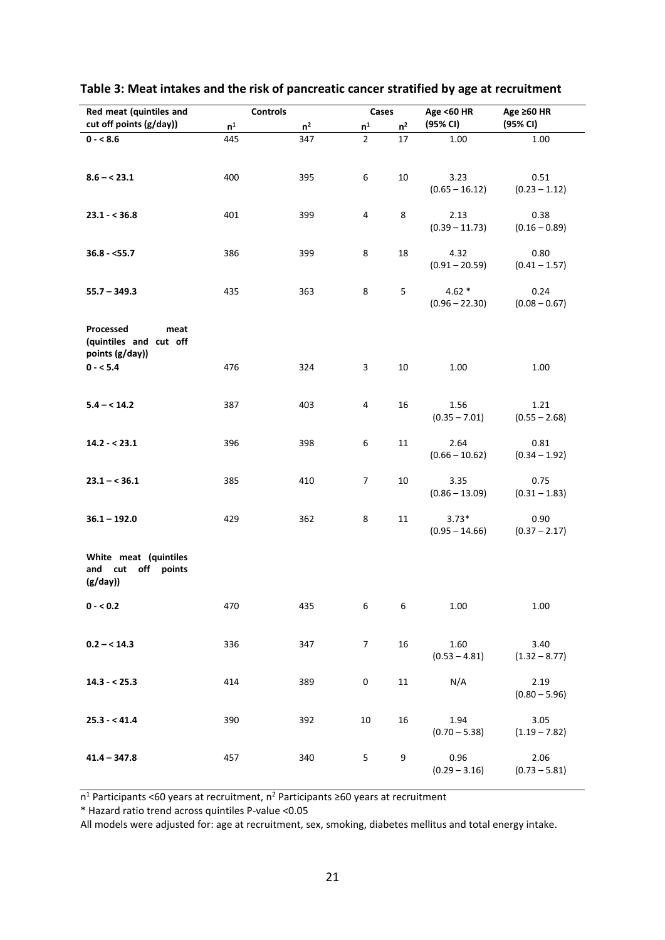| Red meat (quintiles and                        | <b>Controls</b>           |                | Cases          |                | <b>Age &lt;60 HR</b> | Age ≥60 HR      |
|------------------------------------------------|---------------------------|----------------|----------------|----------------|----------------------|-----------------|
| cut off points (g/day))                        | $\mathsf{n}^{\mathsf{1}}$ | n <sup>2</sup> | n <sup>1</sup> | n <sup>2</sup> | (95% CI)             | (95% CI)        |
| $0 - 8.6$                                      | 445                       | 347            | $\overline{2}$ | 17             | 1.00                 | 1.00            |
|                                                |                           |                |                |                |                      |                 |
|                                                |                           |                |                |                |                      |                 |
| $8.6 - < 23.1$                                 | 400                       | 395            | 6              | 10             | 3.23                 | 0.51            |
|                                                |                           |                |                |                | $(0.65 - 16.12)$     | $(0.23 - 1.12)$ |
| $23.1 - 536.8$                                 | 401                       | 399            | 4              | $\,8\,$        | 2.13                 | 0.38            |
|                                                |                           |                |                |                | $(0.39 - 11.73)$     | $(0.16 - 0.89)$ |
|                                                |                           |                |                |                |                      |                 |
| $36.8 - 55.7$                                  | 386                       | 399            | 8              | 18             | 4.32                 | 0.80            |
|                                                |                           |                |                |                | $(0.91 - 20.59)$     | $(0.41 - 1.57)$ |
|                                                |                           |                |                |                |                      |                 |
| $55.7 - 349.3$                                 | 435                       | 363            | $\,8\,$        | 5              | $4.62*$              | 0.24            |
|                                                |                           |                |                |                | $(0.96 - 22.30)$     | $(0.08 - 0.67)$ |
| Processed<br>meat                              |                           |                |                |                |                      |                 |
| (quintiles and cut off                         |                           |                |                |                |                      |                 |
| points (g/day))                                |                           |                |                |                |                      |                 |
| $0 - 5.4$                                      | 476                       | 324            | $\mathsf 3$    | $10\,$         | 1.00                 | 1.00            |
|                                                |                           |                |                |                |                      |                 |
|                                                |                           |                |                |                |                      |                 |
| $5.4 - < 14.2$                                 | 387                       | 403            | 4              | 16             | 1.56                 | 1.21            |
|                                                |                           |                |                |                | $(0.35 - 7.01)$      | $(0.55 - 2.68)$ |
| $14.2 - 23.1$                                  | 396                       | 398            | 6              | 11             | 2.64                 | 0.81            |
|                                                |                           |                |                |                | $(0.66 - 10.62)$     | $(0.34 - 1.92)$ |
|                                                |                           |                |                |                |                      |                 |
| $23.1 - 536.1$                                 | 385                       | 410            | $\overline{7}$ | $10\,$         | 3.35                 | 0.75            |
|                                                |                           |                |                |                | $(0.86 - 13.09)$     | $(0.31 - 1.83)$ |
|                                                |                           |                |                |                |                      |                 |
| $36.1 - 192.0$                                 | 429                       | 362            | 8              | 11             | $3.73*$              | 0.90            |
|                                                |                           |                |                |                | $(0.95 - 14.66)$     | $(0.37 - 2.17)$ |
|                                                |                           |                |                |                |                      |                 |
| White meat (quintiles<br>off points<br>and cut |                           |                |                |                |                      |                 |
| (g/day)                                        |                           |                |                |                |                      |                 |
|                                                |                           |                |                |                |                      |                 |
| $0 - 0.2$                                      | 470                       | 435            | 6              | 6              | 1.00                 | 1.00            |
|                                                |                           |                |                |                |                      |                 |
|                                                |                           |                |                |                |                      |                 |
| $0.2 - < 14.3$                                 | 336                       | 347            | $\overline{7}$ | 16             | 1.60                 | 3.40            |
|                                                |                           |                |                |                | $(0.53 - 4.81)$      | $(1.32 - 8.77)$ |
| $14.3 - 25.3$                                  | 414                       | 389            | $\pmb{0}$      | 11             | N/A                  | 2.19            |
|                                                |                           |                |                |                |                      | $(0.80 - 5.96)$ |
|                                                |                           |                |                |                |                      |                 |
| $25.3 - 41.4$                                  | 390                       | 392            | 10             | 16             | 1.94                 | 3.05            |
|                                                |                           |                |                |                | $(0.70 - 5.38)$      | $(1.19 - 7.82)$ |
|                                                |                           |                |                |                |                      |                 |
| $41.4 - 347.8$                                 | 457                       | 340            | 5              | 9              | 0.96                 | 2.06            |
|                                                |                           |                |                |                | $(0.29 - 3.16)$      | $(0.73 - 5.81)$ |

# **Table 3: Meat intakes and the risk of pancreatic cancer stratified by age at recruitment**

n<sup>1</sup> Participants <60 years at recruitment, n<sup>2</sup> Participants ≥60 years at recruitment

\* Hazard ratio trend across quintiles P-value <0.05

All models were adjusted for: age at recruitment, sex, smoking, diabetes mellitus and total energy intake.